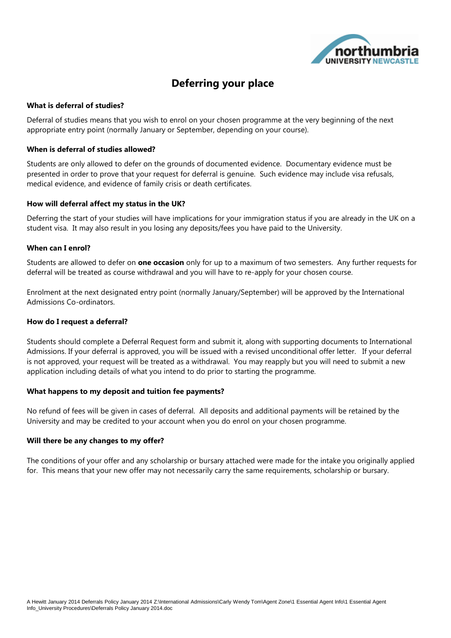

# **Deferring your place**

#### **What is deferral of studies?**

Deferral of studies means that you wish to enrol on your chosen programme at the very beginning of the next appropriate entry point (normally January or September, depending on your course).

#### **When is deferral of studies allowed?**

Students are only allowed to defer on the grounds of documented evidence. Documentary evidence must be presented in order to prove that your request for deferral is genuine. Such evidence may include visa refusals, medical evidence, and evidence of family crisis or death certificates.

#### **How will deferral affect my status in the UK?**

Deferring the start of your studies will have implications for your immigration status if you are already in the UK on a student visa. It may also result in you losing any deposits/fees you have paid to the University.

#### **When can I enrol?**

Students are allowed to defer on **one occasion** only for up to a maximum of two semesters. Any further requests for deferral will be treated as course withdrawal and you will have to re-apply for your chosen course.

Enrolment at the next designated entry point (normally January/September) will be approved by the International Admissions Co-ordinators.

#### **How do I request a deferral?**

Students should complete a Deferral Request form and submit it, along with supporting documents to International Admissions. If your deferral is approved, you will be issued with a revised unconditional offer letter. If your deferral is not approved, your request will be treated as a withdrawal. You may reapply but you will need to submit a new application including details of what you intend to do prior to starting the programme.

#### **What happens to my deposit and tuition fee payments?**

No refund of fees will be given in cases of deferral. All deposits and additional payments will be retained by the University and may be credited to your account when you do enrol on your chosen programme.

#### **Will there be any changes to my offer?**

The conditions of your offer and any scholarship or bursary attached were made for the intake you originally applied for. This means that your new offer may not necessarily carry the same requirements, scholarship or bursary.